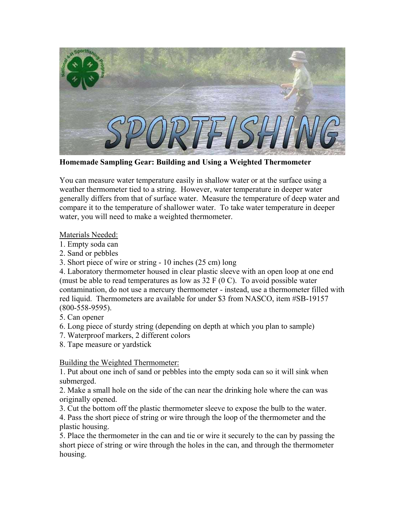

**Homemade Sampling Gear: Building and Using a Weighted Thermometer**

You can measure water temperature easily in shallow water or at the surface using a weather thermometer tied to a string. However, water temperature in deeper water generally differs from that of surface water. Measure the temperature of deep water and compare it to the temperature of shallower water. To take water temperature in deeper water, you will need to make a weighted thermometer.

Materials Needed:

- 1. Empty soda can
- 2. Sand or pebbles
- 3. Short piece of wire or string 10 inches (25 cm) long

4. Laboratory thermometer housed in clear plastic sleeve with an open loop at one end (must be able to read temperatures as low as  $32 \text{ F}$  (0 C). To avoid possible water contamination, do not use a mercury thermometer - instead, use a thermometer filled with red liquid. Thermometers are available for under \$3 from NASCO, item #SB-19157 (800-558-9595).

- 5. Can opener
- 6. Long piece of sturdy string (depending on depth at which you plan to sample)
- 7. Waterproof markers, 2 different colors
- 8. Tape measure or yardstick

## Building the Weighted Thermometer:

1. Put about one inch of sand or pebbles into the empty soda can so it will sink when submerged.

2. Make a small hole on the side of the can near the drinking hole where the can was originally opened.

3. Cut the bottom off the plastic thermometer sleeve to expose the bulb to the water.

4. Pass the short piece of string or wire through the loop of the thermometer and the plastic housing.

5. Place the thermometer in the can and tie or wire it securely to the can by passing the short piece of string or wire through the holes in the can, and through the thermometer housing.